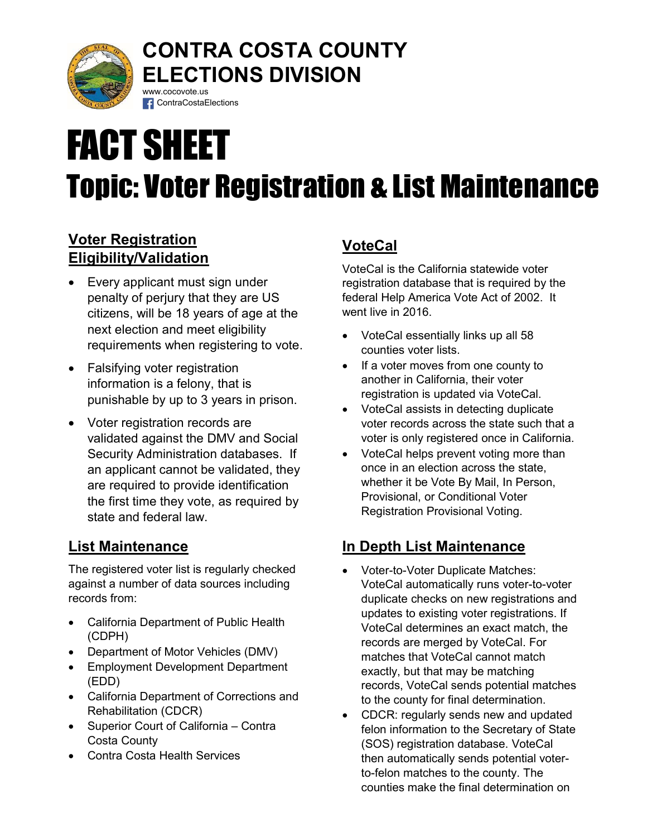

# CONTRA COSTA COUNTY ELECTIONS DIVISION www.cocovote.us

# FACT SHEET Topic: Voter Registration & List Maintenance

# Voter Registration Eligibility/Validation

• Every applicant must sign under penalty of perjury that they are US citizens, will be 18 years of age at the next election and meet eligibility requirements when registering to vote.

**f** ContraCostaElections

- Falsifying voter registration information is a felony, that is punishable by up to 3 years in prison.
- Voter registration records are validated against the DMV and Social Security Administration databases. If an applicant cannot be validated, they are required to provide identification the first time they vote, as required by state and federal law.

## List Maintenance

The registered voter list is regularly checked against a number of data sources including records from:

- California Department of Public Health (CDPH)
- Department of Motor Vehicles (DMV)
- Employment Development Department (EDD)
- California Department of Corrections and Rehabilitation (CDCR)
- Superior Court of California Contra Costa County
- Contra Costa Health Services

# **VoteCal**

VoteCal is the California statewide voter registration database that is required by the federal Help America Vote Act of 2002. It went live in 2016.

- VoteCal essentially links up all 58 counties voter lists.
- If a voter moves from one county to another in California, their voter registration is updated via VoteCal.
- VoteCal assists in detecting duplicate voter records across the state such that a voter is only registered once in California.
- VoteCal helps prevent voting more than once in an election across the state, whether it be Vote By Mail, In Person, Provisional, or Conditional Voter Registration Provisional Voting.

# In Depth List Maintenance

- Voter-to-Voter Duplicate Matches: VoteCal automatically runs voter-to-voter duplicate checks on new registrations and updates to existing voter registrations. If VoteCal determines an exact match, the records are merged by VoteCal. For matches that VoteCal cannot match exactly, but that may be matching records, VoteCal sends potential matches to the county for final determination.
- CDCR: regularly sends new and updated felon information to the Secretary of State (SOS) registration database. VoteCal then automatically sends potential voterto-felon matches to the county. The counties make the final determination on